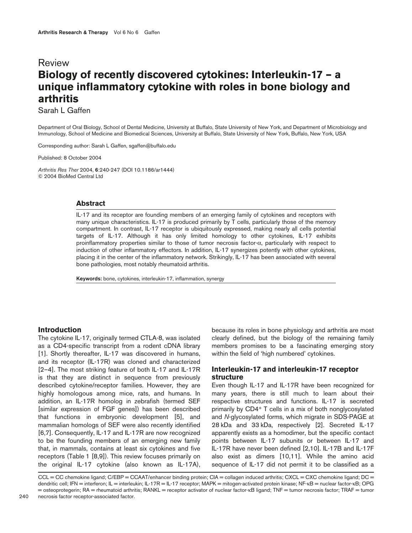# Review **Biology of recently discovered cytokines: Interleukin-17 – a unique inflammatory cytokine with roles in bone biology and arthritis**

Sarah L Gaffen

Department of Oral Biology, School of Dental Medicine, University at Buffalo, State University of New York, and Department of Microbiology and Immunology, School of Medicine and Biomedical Sciences, University at Buffalo, State University of New York, Buffalo, New York, USA

Corresponding author: Sarah L Gaffen, sgaffen@buffalo.edu

Published: 8 October 2004

*Arthritis Res Ther* 2004, **6**:240-247 (DOI 10.1186/ar1444) © 2004 BioMed Central Ltd

#### **Abstract**

IL-17 and its receptor are founding members of an emerging family of cytokines and receptors with many unique characteristics. IL-17 is produced primarily by T cells, particularly those of the memory compartment. In contrast, IL-17 receptor is ubiquitously expressed, making nearly all cells potential targets of IL-17. Although it has only limited homology to other cytokines, IL-17 exhibits proinflammatory properties similar to those of tumor necrosis factor-α, particularly with respect to induction of other inflammatory effectors. In addition, IL-17 synergizes potently with other cytokines, placing it in the center of the inflammatory network. Strikingly, IL-17 has been associated with several bone pathologies, most notably rheumatoid arthritis.

**Keywords:** bone, cytokines, interleukin-17, inflammation, synergy

#### **Introduction**

The cytokine IL-17, originally termed CTLA-8, was isolated as a CD4-specific transcript from a rodent cDNA library [1]. Shortly thereafter, IL-17 was discovered in humans, and its receptor (IL-17R) was cloned and characterized [2–4]. The most striking feature of both IL-17 and IL-17R is that they are distinct in sequence from previously described cytokine/receptor families. However, they are highly homologous among mice, rats, and humans. In addition, an IL-17R homolog in zebrafish (termed SEF [similar expression of FGF genes]) has been described that functions in embryonic development [5], and mammalian homologs of SEF were also recently identified [6,7]. Consequently, IL-17 and IL-17R are now recognized to be the founding members of an emerging new family that, in mammals, contains at least six cytokines and five receptors (Table 1 [8,9]). This review focuses primarily on the original IL-17 cytokine (also known as IL-17A), because its roles in bone physiology and arthritis are most clearly defined, but the biology of the remaining family members promises to be a fascinating emerging story within the field of 'high numbered' cytokines.

# **Interleukin-17 and interleukin-17 receptor structure**

Even though IL-17 and IL-17R have been recognized for many years, there is still much to learn about their respective structures and functions. IL-17 is secreted primarily by CD4+ T cells in a mix of both nonglycosylated and *N*-glycosylated forms, which migrate in SDS-PAGE at 28 kDa and 33 kDa, respectively [2]. Secreted IL-17 apparently exists as a homodimer, but the specific contact points between IL-17 subunits or between IL-17 and IL-17R have never been defined [2,10]. IL-17B and IL-17F also exist as dimers [10,11]. While the amino acid sequence of IL-17 did not permit it to be classified as a

CCL = CC chemokine ligand; C/EBP = CCAAT/enhancer binding protein; CIA = collagen induced arthritis; CXCL = CXC chemokine ligand; DC = dendritic cell; IFN = interferon; IL = interleukin; IL-17R = IL-17 receptor; MAPK = mitogen-activated protein kinase; NF-κB = nuclear factor-κB; OPG = osteoprotegerin; RA = rheumatoid arthritis; RANKL = receptor activator of nuclear factor-κB ligand; TNF = tumor necrosis factor; TRAF = tumor necrosis factor receptor-associated factor.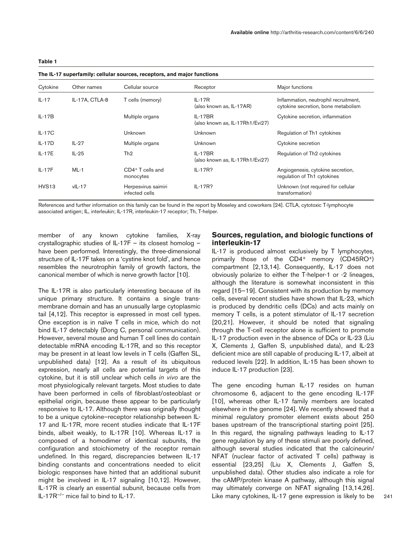| The IL-17 superfamily: cellular sources, receptors, and major functions |                |                                       |                                              |                                                                              |
|-------------------------------------------------------------------------|----------------|---------------------------------------|----------------------------------------------|------------------------------------------------------------------------------|
| Cytokine                                                                | Other names    | Cellular source                       | Receptor                                     | Major functions                                                              |
| $IL-17$                                                                 | IL-17A, CTLA-8 | T cells (memory)                      | $IL-17R$<br>(also known as, IL-17AR)         | Inflammation, neutrophil recruitment,<br>cytokine secretion, bone metabolism |
| $IL-17B$                                                                |                | Multiple organs                       | $IL-17BR$<br>(also known as, IL-17Rh1/Evi27) | Cytokine secretion, inflammation                                             |
| $IL-17C$                                                                |                | Unknown                               | Unknown                                      | Regulation of Th1 cytokines                                                  |
| $IL-17D$                                                                | $IL-27$        | Multiple organs                       | Unknown                                      | Cytokine secretion                                                           |
| $IL-17E$                                                                | $IL-25$        | Th <sub>2</sub>                       | $IL-17BR$<br>(also known as, IL-17Rh1/Evi27) | Regulation of Th <sub>2</sub> cytokines                                      |
| $IL-17F$                                                                | $ML-1$         | CD4+T cells and<br>monocytes          | IL-17R?                                      | Angiogenesis, cytokine secretion,<br>regulation of Th1 cytokines             |
| HVS <sub>13</sub>                                                       | $vIL-17$       | Herpesvirus saimiri<br>infected cells | $IL-17R?$                                    | Unknown (not required for cellular<br>transformation)                        |

References and further information on this family can be found in the report by Moseley and coworkers [24]. CTLA, cytotoxic T-lymphocyte associated antigen; IL, interleukin; IL-17R, interleukin-17 receptor; Th, T-helper.

member of any known cytokine families, X-ray crystallographic studies of IL-17F – its closest homolog – have been performed. Interestingly, the three-dimensional structure of IL-17F takes on a 'cystine knot fold', and hence resembles the neurotrophin family of growth factors, the canonical member of which is nerve growth factor [10].

The IL-17R is also particularly interesting because of its unique primary structure. It contains a single transmembrane domain and has an unusually large cytoplasmic tail [4,12]. This receptor is expressed in most cell types. One exception is in naïve T cells in mice, which do not bind IL-17 detectably (Dong C, personal communication). However, several mouse and human T cell lines do contain detectable mRNA encoding IL-17R, and so this receptor may be present in at least low levels in T cells (Gaffen SL, unpublished data) [12]. As a result of its ubiquitous expression, nearly all cells are potential targets of this cytokine, but it is still unclear which cells *in vivo* are the most physiologically relevant targets. Most studies to date have been performed in cells of fibroblast/osteoblast or epithelial origin, because these appear to be particularly responsive to IL-17. Although there was originally thought to be a unique cytokine–receptor relationship between IL-17 and IL-17R, more recent studies indicate that IL-17F binds, albeit weakly, to IL-17R [10]. Whereas IL-17 is composed of a homodimer of identical subunits, the configuration and stoichiometry of the receptor remain undefined. In this regard, discrepancies between IL-17 binding constants and concentrations needed to elicit biologic responses have hinted that an additional subunit might be involved in IL-17 signaling [10,12]. However, IL-17R is clearly an essential subunit, because cells from IL-17R–/– mice fail to bind to IL-17.

## **Sources, regulation, and biologic functions of interleukin-17**

IL-17 is produced almost exclusively by T lymphocytes, primarily those of the CD4<sup>+</sup> memory (CD45RO<sup>+</sup>) compartment [2,13,14]. Consequently, IL-17 does not obviously polarize to either the T-helper-1 or -2 lineages, although the literature is somewhat inconsistent in this regard [15–19]. Consistent with its production by memory cells, several recent studies have shown that IL-23, which is produced by dendritic cells (DCs) and acts mainly on memory T cells, is a potent stimulator of IL-17 secretion [20,21]. However, it should be noted that signaling through the T-cell receptor alone is sufficient to promote IL-17 production even in the absence of DCs or IL-23 (Liu X, Clements J, Gaffen S, unpublished data), and IL-23 deficient mice are still capable of producing IL-17, albeit at reduced levels [22]. In addition, IL-15 has been shown to induce IL-17 production [23].

The gene encoding human IL-17 resides on human chromosome 6, adjacent to the gene encoding IL-17F [10], whereas other IL-17 family members are located elsewhere in the genome [24]. We recently showed that a minimal regulatory promoter element exists about 250 bases upstream of the transcriptional starting point [25]. In this regard, the signaling pathways leading to IL-17 gene regulation by any of these stimuli are poorly defined, although several studies indicated that the calcineurin/ NFAT (nuclear factor of activated T cells) pathway is essential [23,25] (Liu X, Clements J, Gaffen S, unpublished data). Other studies also indicate a role for the cAMP/protein kinase A pathway, although this signal may ultimately converge on NFAT signaling [13,14,26]. Like many cytokines, IL-17 gene expression is likely to be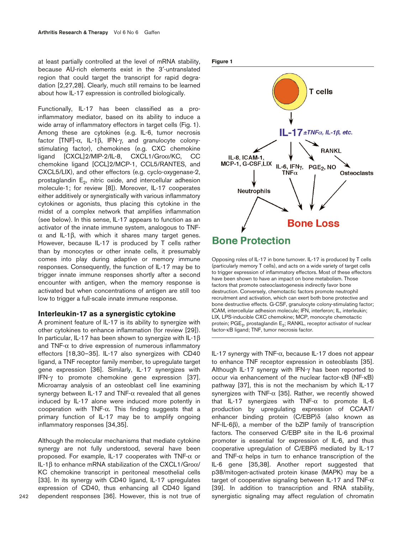at least partially controlled at the level of mRNA stability, because AU-rich elements exist in the 3′-untranslated region that could target the transcript for rapid degradation [2,27,28]. Clearly, much still remains to be learned about how IL-17 expression is controlled biologically.

Functionally, IL-17 has been classified as a proinflammatory mediator, based on its ability to induce a wide array of inflammatory effectors in target cells (Fig. 1). Among these are cytokines (e.g. IL-6, tumor necrosis factor [TNF]-α, IL-1β, IFN-γ, and granulocyte colonystimulating factor), chemokines (e.g. CXC chemokine ligand [CXCL]2/MIP-2/IL-8, CXCL1/Groα/KC, CC chemokine ligand [CCL]2/MCP-1, CCL5/RANTES, and CXCL5/LIX), and other effectors (e.g. cyclo-oxygenase-2, prostaglandin  $E_2$ , nitric oxide, and intercellular adhesion molecule-1; for review [8]). Moreover, IL-17 cooperates either additively or synergistically with various inflammatory cytokines or agonists, thus placing this cytokine in the midst of a complex network that amplifies inflammation (see below). In this sense, IL-17 appears to function as an activator of the innate immune system, analogous to TNFα and IL-1β, with which it shares many target genes. However, because IL-17 is produced by T cells rather than by monocytes or other innate cells, it presumably comes into play during adaptive or memory immune responses. Consequently, the function of IL-17 may be to trigger innate immune responses shortly after a second encounter with antigen, when the memory response is activated but when concentrations of antigen are still too low to trigger a full-scale innate immune response.

#### **Interleukin-17 as a synergistic cytokine**

A prominent feature of IL-17 is its ability to synergize with other cytokines to enhance inflammation (for review [29]). In particular, IL-17 has been shown to synergize with IL-1β and TNF- $\alpha$  to drive expression of numerous inflammatory effectors [18,30–35]. IL-17 also synergizes with CD40 ligand, a TNF receptor family member, to upregulate target gene expression [36]. Similarly, IL-17 synergizes with IFN-γ to promote chemokine gene expression [37]. Microarray analysis of an osteoblast cell line examining synergy between IL-17 and TNF- $\alpha$  revealed that all genes induced by IL-17 alone were induced more potently in cooperation with TNF-α. This finding suggests that a primary function of IL-17 may be to amplify ongoing inflammatory responses [34,35].

Although the molecular mechanisms that mediate cytokine synergy are not fully understood, several have been proposed. For example, IL-17 cooperates with TNF-α or IL-1β to enhance mRNA stabilization of the CXCL1/Groα/ KC chemokine transcript in peritoneal mesothelial cells [33]. In its synergy with CD40 ligand, IL-17 upregulates expression of CD40, thus enhancing all CD40 ligand dependent responses [36]. However, this is not true of **Figure 1**



Opposing roles of IL-17 in bone turnover. IL-17 is produced by T cells (particularly memory T cells), and acts on a wide variety of target cells to trigger expression of inflammatory effectors. Most of these effectors have been shown to have an impact on bone metabolism. Those factors that promote osteoclastogenesis indirectly favor bone destruction. Conversely, chemotactic factors promote neutrophil recruitment and activation, which can exert both bone protective and bone destructive effects. G-CSF, granulocyte colony-stimulating factor; ICAM, intercellular adhesion molecule; IFN, interferon; IL, interleukin; LIX, LPS-inducible CXC chemokine; MCP, monocyte chemotactic protein; PGE<sub>2</sub>, prostaglandin E<sub>2</sub>; RANKL, receptor activator of nuclear factor-κB ligand; TNF, tumor necrosis factor.

IL-17 synergy with TNF-α, because IL-17 does not appear to enhance TNF receptor expression in osteoblasts [35]. Although IL-17 synergy with IFN-γ has been reported to occur via enhancement of the nuclear factor-κB (NF-κB) pathway [37], this is not the mechanism by which IL-17 synergizes with TNF- $\alpha$  [35]. Rather, we recently showed that IL-17 synergizes with TNF- $\alpha$  to promote IL-6 production by upregulating expression of CCAAT/ enhancer binding protein (C/EBP)δ (also known as NF-IL-6β), a member of the bZIP family of transcription factors. The conserved C/EBP site in the IL-6 proximal promoter is essential for expression of IL-6, and thus cooperative upregulation of C/EBPδ mediated by IL-17 and TNF- $\alpha$  helps in turn to enhance transcription of the IL-6 gene [35,38]. Another report suggested that p38/mitogen-activated protein kinase (MAPK) may be a target of cooperative signaling between IL-17 and TNF- $\alpha$ [39]. In addition to transcription and RNA stability, synergistic signaling may affect regulation of chromatin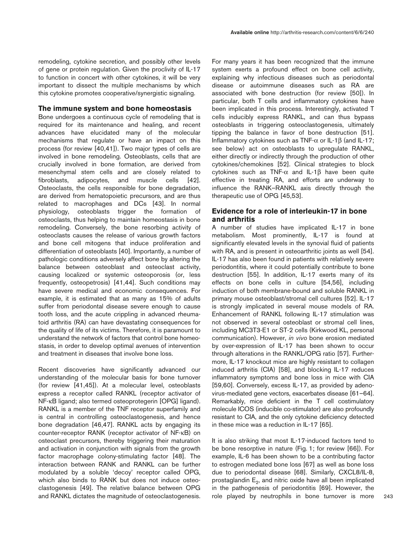remodeling, cytokine secretion, and possibly other levels of gene or protein regulation. Given the proclivity of IL-17 to function in concert with other cytokines, it will be very important to dissect the multiple mechanisms by which this cytokine promotes cooperative/synergistic signaling.

### **The immune system and bone homeostasis**

Bone undergoes a continuous cycle of remodeling that is required for its maintenance and healing, and recent advances have elucidated many of the molecular mechanisms that regulate or have an impact on this process (for review [40,41]). Two major types of cells are involved in bone remodeling. Osteoblasts, cells that are crucially involved in bone formation, are derived from mesenchymal stem cells and are closely related to fibroblasts, adipocytes, and muscle cells [42]. Osteoclasts, the cells responsible for bone degradation, are derived from hematopoietic precursors, and are thus related to macrophages and DCs [43]. In normal physiology, osteoblasts trigger the formation of osteoclasts, thus helping to maintain homeostasis in bone remodeling. Conversely, the bone resorbing activity of osteoclasts causes the release of various growth factors and bone cell mitogens that induce proliferation and differentiation of osteoblasts [40]. Importantly, a number of pathologic conditions adversely affect bone by altering the balance between osteoblast and osteoclast activity, causing localized or systemic osteoporosis (or, less frequently, osteopetrosis) [41,44]. Such conditions may have severe medical and economic consequences. For example, it is estimated that as many as 15% of adults suffer from periodontal disease severe enough to cause tooth loss, and the acute crippling in advanced rheumatoid arthritis (RA) can have devastating consequences for the quality of life of its victims. Therefore, it is paramount to understand the network of factors that control bone homeostasis, in order to develop optimal avenues of intervention and treatment in diseases that involve bone loss.

Recent discoveries have significantly advanced our understanding of the molecular basis for bone turnover (for review [41,45]). At a molecular level, osteoblasts express a receptor called RANKL (receptor activator of NF-κB ligand; also termed osteoprotegerin [OPG] ligand). RANKL is a member of the TNF receptor superfamily and is central in controlling osteoclastogenesis, and hence bone degradation [46,47]. RANKL acts by engaging its counter-receptor RANK (receptor activator of NF-κB) on osteoclast precursors, thereby triggering their maturation and activation in conjunction with signals from the growth factor macrophage colony-stimulating factor [48]. The interaction between RANK and RANKL can be further modulated by a soluble 'decoy' receptor called OPG, which also binds to RANK but does not induce osteoclastogenesis [49]. The relative balance between OPG and RANKL dictates the magnitude of osteoclastogenesis.

For many years it has been recognized that the immune system exerts a profound effect on bone cell activity, explaining why infectious diseases such as periodontal disease or autoimmune diseases such as RA are associated with bone destruction (for review [50]). In particular, both T cells and inflammatory cytokines have been implicated in this process. Interestingly, activated T cells inducibly express RANKL, and can thus bypass osteoblasts in triggering osteoclastogenesis, ultimately tipping the balance in favor of bone destruction [51]. Inflammatory cytokines such as TNF-α or IL-1β (and IL-17; see below) act on osteoblasts to upregulate RANKL, either directly or indirectly through the production of other cytokines/chemokines [52]. Clinical strategies to block cytokines such as TNF-α and IL-1β have been quite effective in treating RA, and efforts are underway to influence the RANK–RANKL axis directly through the therapeutic use of OPG [45,53].

## **Evidence for a role of interleukin-17 in bone and arthritis**

A number of studies have implicated IL-17 in bone metabolism. Most prominently, IL-17 is found at significantly elevated levels in the synovial fluid of patients with RA, and is present in osteoarthritic joints as well [54]. IL-17 has also been found in patients with relatively severe periodontitis, where it could potentially contribute to bone destruction [55]. In addition, IL-17 exerts many of its effects on bone cells in culture [54,56], including induction of both membrane-bound and soluble RANKL in primary mouse osteoblast/stromal cell cultures [52]. IL-17 is strongly implicated in several mouse models of RA. Enhancement of RANKL following IL-17 stimulation was not observed in several osteoblast or stromal cell lines, including MC3T3-E1 or ST-2 cells (Kirkwood KL, personal communication). However, *in vivo* bone erosion mediated by over-expression of IL-17 has been shown to occur through alterations in the RANKL/OPG ratio [57]. Furthermore, IL-17 knockout mice are highly resistant to collagen induced arthritis (CIA) [58], and blocking IL-17 reduces inflammatory symptoms and bone loss in mice with CIA [59,60]. Conversely, excess IL-17, as provided by adenovirus-mediated gene vectors, exacerbates disease [61–64]. Remarkably, mice deficient in the T cell costimulatory molecule ICOS (inducible co-stimulator) are also profoundly resistant to CIA, and the only cytokine deficiency detected in these mice was a reduction in IL-17 [65].

It is also striking that most IL-17-induced factors tend to be bone resorptive in nature (Fig. 1; for review [66]). For example, IL-6 has been shown to be a contributing factor to estrogen mediated bone loss [67] as well as bone loss due to periodontal disease [68]. Similarly, CXCL8/IL-8, prostaglandin  $E<sub>2</sub>$ , and nitric oxide have all been implicated in the pathogenesis of periodontitis [69]. However, the role played by neutrophils in bone turnover is more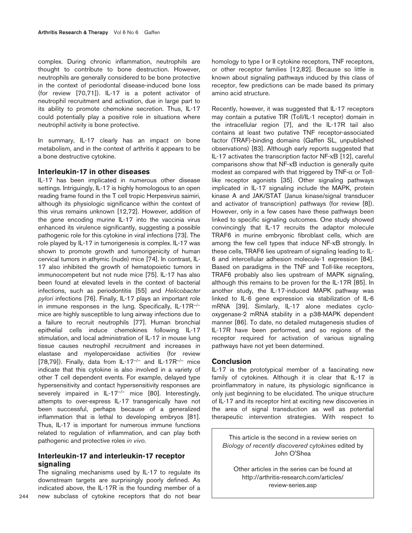complex. During chronic inflammation, neutrophils are thought to contribute to bone destruction. However, neutrophils are generally considered to be bone protective in the context of periodontal disease-induced bone loss (for review [70,71]). IL-17 is a potent activator of neutrophil recruitment and activation, due in large part to its ability to promote chemokine secretion. Thus, IL-17 could potentially play a positive role in situations where neutrophil activity is bone protective.

In summary, IL-17 clearly has an impact on bone metabolism, and in the context of arthritis it appears to be a bone destructive cytokine.

## **Interleukin-17 in other diseases**

IL-17 has been implicated in numerous other disease settings. Intriguingly, IL-17 is highly homologous to an open reading frame found in the T cell tropic Herpesvirus saimiri, although its physiologic significance within the context of this virus remains unknown [12,72]. However, addition of the gene encoding murine IL-17 into the vaccinia virus enhanced its virulence significantly, suggesting a possible pathogenic role for this cytokine in viral infections [73]. The role played by IL-17 in tumorigenesis is complex. IL-17 was shown to promote growth and tumorigenicity of human cervical tumors in athymic (nude) mice [74]. In contrast, IL-17 also inhibited the growth of hematopoietic tumors in immunocompetent but not nude mice [75]. IL-17 has also been found at elevated levels in the context of bacterial infections, such as periodontitis [55] and *Helicobacter pylori* infections [76]. Finally, IL-17 plays an important role in immune responses in the lung. Specifically, IL-17R–/– mice are highly susceptible to lung airway infections due to a failure to recruit neutrophils [77]. Human bronchial epithelial cells induce chemokines following IL-17 stimulation, and local administration of IL-17 in mouse lung tissue causes neutrophil recruitment and increases in elastase and myeloperoxidase activities (for review [78,79]). Finally, data from  $IL-17<sup>-/-</sup>$  and  $IL-17R<sup>-/-</sup>$  mice indicate that this cytokine is also involved in a variety of other T cell dependent events. For example, delayed type hypersensitivity and contact hypersensitivity responses are severely impaired in IL-17<sup>-/-</sup> mice [80]. Interestingly, attempts to over-express IL-17 transgenically have not been successful, perhaps because of a generalized inflammation that is lethal to developing embryos [81]. Thus, IL-17 is important for numerous immune functions related to regulation of inflammation, and can play both pathogenic and protective roles *in vivo*.

# **Interleukin-17 and interleukin-17 receptor signaling**

The signaling mechanisms used by IL-17 to regulate its downstream targets are surprisingly poorly defined. As indicated above, the IL-17R is the founding member of a new subclass of cytokine receptors that do not bear

homology to type I or II cytokine receptors, TNF receptors, or other receptor families [12,82]. Because so little is known about signaling pathways induced by this class of receptor, few predictions can be made based its primary amino acid structure.

Recently, however, it was suggested that IL-17 receptors may contain a putative TIR (Toll/IL-1 receptor) domain in the intracellular region [7], and the IL-17R tail also contains at least two putative TNF receptor-associated factor (TRAF)-binding domains (Gaffen SL, unpublished observations) [83]. Although early reports suggested that IL-17 activates the transcription factor NF-κB [12], careful comparisons show that NF-κB induction is generally quite modest as compared with that triggered by TNF- $\alpha$  or Tolllike receptor agonists [35]. Other signaling pathways implicated in IL-17 signaling include the MAPK, protein kinase A and JAK/STAT (Janus kinase/signal transducer and activator of transcription) pathways (for review [8]). However, only in a few cases have these pathways been linked to specific signaling outcomes. One study showed convincingly that IL-17 recruits the adaptor molecule TRAF6 in murine embryonic fibroblast cells, which are among the few cell types that induce NF-κB strongly. In these cells, TRAF6 lies upstream of signaling leading to IL-6 and intercellular adhesion molecule-1 expression [84]. Based on paradigms in the TNF and Toll-like receptors, TRAF6 probably also lies upstream of MAPK signaling, although this remains to be proven for the IL-17R [85]. In another study, the IL-17-induced MAPK pathway was linked to IL-6 gene expression via stabilization of IL-6 mRNA [39]. Similarly, IL-17 alone mediates cyclooxygenase-2 mRNA stability in a p38-MAPK dependent manner [86]. To date, no detailed mutagenesis studies of IL-17R have been performed, and so regions of the receptor required for activation of various signaling pathways have not yet been determined.

#### **Conclusion**

IL-17 is the prototypical member of a fascinating new family of cytokines. Although it is clear that IL-17 is proinflammatory in nature, its physiologic significance is only just beginning to be elucidated. The unique structure of IL-17 and its receptor hint at exciting new discoveries in the area of signal transduction as well as potential therapeutic intervention strategies. With respect to

This article is the second in a review series on *Biology of recently discovered cytokines* edited by John O'Shea

Other articles in the series can be found at http://arthritis-research.com/articles/ review-series.asp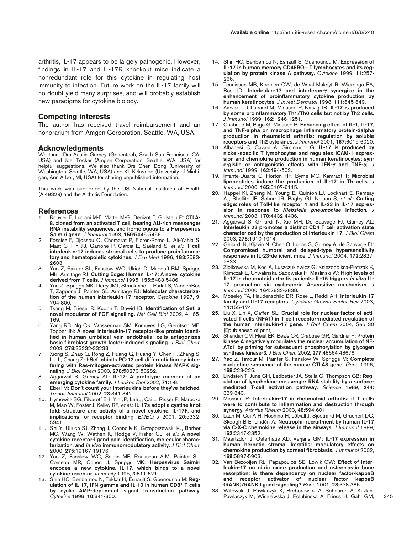arthritis, IL-17 appears to be largely pathogenic. However, findings in IL-17 and IL-17R knockout mice indicate a nonredundant role for this cytokine in regulating host immunity to infection. Future work on the IL-17 family will no doubt yield many surprises, and will probably establish new paradigms for cytokine biology.

#### **Competing interests**

The author has received travel reimbursement and an honorarium from Amgen Corporation, Seattle, WA, USA.

#### **Acknowledgments**

We thank Drs Austin Gurney (Genentech, South San Francisco, CA, USA) and Joel Tocker (Amgen Corporation, Seattle, WA, USA) for helpful suggestions. We also thank Drs Chen Dong (University of Washington, Seattle, WA, USA) and KL Kirkwood (University of Michigan, Ann Arbor, MI, USA) for sharing unpublished information.

This work was supported by the US National Institutes of Health (AI49329) and the Arthritis Foundation.

#### **References**

- 1. Rouvier E, Luciani M-F, Mattei M-G, Denizot F, Golstein P: **CTLA-8, cloned from an activated T cell, bearing AU-rich messenger RNA instability sequences, and homologous to a Herpesvirus Saimiri gene.** *J Immunol* 1993, **150:**5445-5456.
- 2. Fossiez F, Djossou O, Chomarat P, Flores-Romo L, Ait-Yahia S, Maat C, Pin J-J, Garrone P, Garcia E, Saeland S, *et al*.: **T cell interleukin-17 induces stromal cells to produce proinflammatory and hematopoietic cytokines.** *J Exp Med* 1996, **183:**2593- 2603.
- 3. Yao Z, Painter SL, Fanslow WC, Ulrich D, Macduff BM, Spriggs MK, Armitage RJ: **Cutting Edge: Human IL-17: A novel cytokine derived from T cells.** *J Immunol* 1995, **155:**5483-5486.
- Yao Z, Spriggs MK, Derry JMJ, Strockbine L, Park LS, VandenBos T, Zappone J, Painter SL, Armitage RJ: **Molecular characterization of the human interleukin-17 receptor.** *Cytokine* 1997, **9:** 794-800.
- 5. Tsang M, Friesel R, Kudoh T, Dawid IB: **Identification of Sef, a novel modulator of FGF signalling.** *Nat Cell Biol* 2002, **4:**165- 169.
- 6. Yang RB, Ng CK, Wasserman SM, Komuves LG, Gerritsen ME, Topper JN: **A novel interleukin-17 receptor-like protein identified in human umbilical vein endothelial cells antagonizes basic fibroblast growth factor-induced signaling.** *J Biol Chem* 2003, **278:**33232-33238.
- 7. Xiong S, Zhao Q, Rong Z, Huang G, Huang Y, Chen P, Zhang S, Liu L, Chang Z: **hSef inhibits PC-12 cell differentiation by interfering with Ras-mitogen-activated protein kinase MAPK signaling.** *J Biol Chem* 2003, **278:**50273-50282.
- 8. Aggarwal S, Gurney AL: **IL-17: A prototype member of an emerging cytokine family.** *J Leukoc Biol* 2002, **71:**1-8.
- 9. Eberl M: **Don't count your interleukins before they've hatched.** *Trends Immunol* 2002, **23:**341-342.
- 10. Hymowitz SG, Filvaroff EH, Yin JP, Lee J, Cai L, Risser P, Maruoka M, Mao W, Foster J, Kelley RF, *et al*.: **IL-17s adopt a cystine knot fold: structure and activity of a novel cytokine, IL-17F, and implications for receptor binding.** *EMBO J* 2001, **20:**5332- 5341.
- 11. Shi Y, Ullrich SJ, Zhang J, Connolly K, Grzegorzewski KJ, Barber MC, Wang W, Wathen K, Hodge V, Fisher CL, *et al*.: **A novel cytokine receptor-ligand pair. Identification, molecular characterization, and** *in vivo* **immunomodulatory activity.** *J Biol Chem* 2000, **275:**19167-19176.
- 12. Yao Z, Fanslow WC, Seldin MF, Rousseau A-M, Painter SL, Comeau MR, Cohen JI, Spriggs MK: **Herpesvirus Saimiri encodes a new cytokine, IL-17, which binds to a novel cytokine receptor.** *Immunity* 1995, **3:**811-821.
- 13. Shin HC, Benbernou N, Fekkar H, Esnault S, Guenounou M: **Regulation of IL-17, IFN-gamma and IL-10 in human CD8+ T cells by cyclic AMP-dependent signal transduction pathway.** *Cytokine* 1998, **10:**841-850.
- 14. Shin HC, Benbernou N, Esnault S, Guenounou M: **Expression of IL-17 in human memory CD45RO+ T lymphocytes and its regulation by protein kinase A pathway.** *Cytokine* 1999, **11:**257- 266.
- 15. Teunissen MB, Koomen CW, de Waal Malefyt R, Wierenga EA, Bos JD: **Interleukin-17 and interferon-**γ **synergize in the enhancement of proinflammatory cytokine production by human keratinocytes.** *J Invest Dermatol* 1998, **111:**645-649.
- 16. Aarvak T, Chabaud M, Miossec P, Natvig JB: **IL-17 is produced by some proinflammatory Th1/Th0 cells but not by Th2 cells.** *J Immunol* 1999, **162:**1246-1251.
- 17. Chabaud M, Page G, Miossec P: **Enhancing effect of IL-1, IL-17, and TNF-alpha on macrophage inflammatory protein-3alpha production in rheumatoid arthritis: regulation by soluble receptors and Th2 cytokines.** *J Immunol* 2001, **167:**6015-6020.
- 18. Albanesi C, Cavani A, Girolomoni G: **IL-17 is produced by nickel-specific T lymphocytes and regulates ICAM-1 expression and chemokine production in human keratinocytes: synergistic or antagonistic effects with IFN-**γ **and TNF-**α**.** *J Immunol* 1999, **162:**494-502.
- 19. Infante-Duarte C, Horton HF, Byrne MC, Kamradt T: **Microbial lipopeptides induce the production of IL-17 in Th cells.** *J Immunol* 2000, **165:**6107-6115.
- 20. Happel KI, Zheng M, Young E, Quinton LJ, Lockhart E, Ramsay AJ, Shellito JE, Schurr JR, Bagby GJ, Nelson S, *et al*.: **Cutting edge: roles of Toll-like receptor 4 and IL-23 in IL-17 expression in response to** *Klebsiella pneumoniae* **infection.** *J Immunol* 2003, **170:**4432-4436.
- 21. Aggarwal S, Ghilardi N, Xie MH, De Sauvage FJ, Gurney AL: **Interleukin 23 promotes a distinct CD4 T cell activation state characterized by the production of interleukin 17.** *J Biol Chem* 2003, **278:**1910-1914.
- 22. Ghilardi N, Kljavin N, Chen Q, Lucas S, Gurney A, de Sauvage FJ: **Compromised humoral and delayed-type hypersensitivity responses in IL-23-deficient mice.** *J Immunol* 2004, **172:**2827- 2833.
- 23. Ziolkowska M, Koc A, Luszczukiewicz G, Ksiezopolksa-Pietrzak K, Klimczak E, Chwalinska-Sadowska H, Maslinski W: **High levels of IL-17 in rheumatoid arthritis patients: IL-15 triggers** *in vitro* **IL-17 production via cyclosporin A-sensitive mechanism.** *J Immunol* 2000, **164:**2832-2838.
- 24. Moseley TA, Haudenschild DR, Rose L, Reddi AH: **Interleukin-17 family and IL-17 receptors.** *Cytokine Growth Factor Rev* 2003, **14:**155-174.
- 25. Liu X, Lin X, Gaffen SL: **Crucial role for nuclear factor of activated T cells (NFAT) in T cell receptor-mediated regulation of the human interleukin-17 gene.** *J Biol Chem* 2004, Sep 30 [Epub ahead of print]
- 26. Sheridan CM, Heist EK, Beals CR, Crabtree GR, Gardner P: **Protein kinase A negatively modulates the nuclear accumulation of NF-ATc1 by priming for subsequent phosphorylation by glycogen synthase kinase-3.** *J Biol Chem* 2002, **277:**48664-48676.
- 27. Yao Z, Timour M, Painter S, Fanslow W, Spriggs M: **Complete nucleotide sequence of the mouse CTLA8 gene.** *Gene* 1996, **168:**223-225.
- 28. Lindsten T, June CH, Ledbetter JA, Stella G, Thompson CB: **Regulation of lymphokine messenger RNA stability by a surfacemediated T-cell activation pathway.** *Science* 1989, **244:** 339-343.
- 29. Miossec P: **Interleukin-17 in rheumatoid arthritis: if T cells were to contribute to inflammation and destruction through synergy.** *Arthritis Rheum* 2003, **48:**594-601.
- 30. Laan M, Cui A-H, Hoshino H, Lötvall J, Sjöstrand M, Gruenert DC, Skoogh B-E, Lindén A: **Neutrophil recruitment by human IL-17 via C-X-C chemokine release in the airways.** *J Immunol* 1999, **162:**2347-2352.
- 31. Maertzdorf J, Osterhaus AD, Verjans GM: **IL-17 expression in human herpetic stromal keratitis: modulatory effects on chemokine production by corneal fibroblasts.** *J Immunol* 2002, **169:**5897-5903.
- 32. Van Bezooijen RL, Papapoulos SE, Lowik CW: **Effect of interleukin-17 on nitric oxide production and osteoclastic bone resorption: is there dependency on nuclear factor-kappaB and receptor activator of nuclear factor kappaB (RANK)/RANK ligand signaling?** *Bone* 2001, **28:**378-386.
- 33. Witowski J, Pawlaczyk K, Breborowicz A, Scheuren A, Kuzlan-Pawlaczyk M, Wisniewska J, Polubinska A, Friess H, Gahl GM,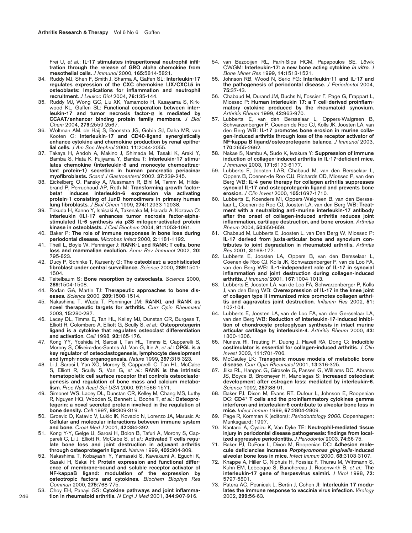Frei U, *et al*.: **IL-17 stimulates intraperitoneal neutrophil infiltration through the release of GRO alpha chemokine from mesothelial cells.** *J Immunol* 2000, **165:**5814-5821.

- 34. Ruddy MJ, Shen F, Smith J, Sharma A, Gaffen SL: **Interleukin-17 regulates expression of the CXC chemokine LIX/CXCL5 in osteoblasts: Implications for inflammation and neutrophil recruitment.** *J Leukoc Biol* 2004, **76:**135-144.
- 35. Ruddy MJ, Wong GC, Liu XK, Yamamoto H, Kasayama S, Kirkwood KL, Gaffen SL: **Functional cooperation between interleukin-17 and tumor necrosis factor-**α **is mediated by CCAAT/enhancer binding protein family members.** *J Biol Chem* 2004, **279:**2559-2567.
- 36. Woltman AM, de Haij S, Boonstra JG, Gobin SJ, Daha MR, van Kooten C: **Interleukin-17 and CD40-ligand synergistically enhance cytokine and chemokine production by renal epithelial cells.** *J Am Soc Nephrol* 2000, **11:**2044-2055.
- 37. Takaya H, Andoh A, Makino J, Shimada M, Tasaki K, Araki Y, Bamba S, Hata K, Fujiyama Y, Bamba T: **Interleukin-17 stimulates chemokine (interleukin-8 and monocyte chemoattractant protein-1) secretion in human pancreatic periacinar myofibroblasts.** *Scand J Gastroenterol* 2002, **37:**239-245.
- 38. Eickelberg O, Pansky A, Mussmann R, Bihl M, Tamm M, Hildebrand P, Perruchoud AP, Roth M: **Transforming growth factorbeta1 induces interleukin-6 expression via activating protein-1 consisting of JunD homodimers in primary human lung fibroblasts.** *J Biol Chem* 1999, **274:**12933-12938.
- 39. Tokuda H, Kanno Y, Ishisaki A, Takenaka M, Harada A, Kozawa O: **Interleukin (IL)-17 enhances tumor necrosis factor-alphastimulated IL-6 synthesis via p38 mitogen-activated protein kinase in osteoblasts.** *J Cell Biochem* 2004, **91:**1053-1061.
- 40. Baker P: **The role of immune responses in bone loss during periodontal disease.** *Microbes Infect* 2000, **2:**1181-1192.
- 41. Theill L, Boyle W, Penninger J: **RANK-L and RANK: T cells, bone loss and mammalian evolution.** *Annu Rev Immunol* 2002, **20:** 795-823.
- 42. Ducy P, Schinke T, Karsenty G: **The osteoblast: a sophisticated fibroblast under central surveillance.** *Science* 2000, **289:**1501- 1504.
- 43. Teitelbaum S: **Bone resorption by osteoclasts.** *Science* 2000, **289:**1504-1508.
- 44. Rodan GA, Martin TJ: **Therapeutic approaches to bone diseases.** *Science* 2000, **289:**1508-1514.
- 45. Nakashima T, Wada T, Penninger JM: **RANKL and RANK as novel therapeutic targets for arthritis.** *Curr Opin Rheumatol* 2003, **15:**280-287.
- 46. Lacey DL, Timms E, Tan HL, Kelley MJ, Dunstan CR, Burgess T, Elliott R, Colombero A, Elliott G, Scully S, *et al*.: **Osteoprotegerin ligand is a cytokine that regulates osteoclast differentiation and activation.** *Cell* 1998, **93:**165-176.
- 47. Kong YY, Yoshida H, Sarosi I, Tan HL, Timms E, Capparelli S, Morony S, Oliveira-dos-Santos AJ, Van G, Itie A, *et al*.: **OPGL is a key regulator of osteoclastogenesis, lymphocyte development and lymph-node organogenesis.** *Nature* 1999, **397:**315-323.
- 48. Li J, Sarosi I, Yan XQ, Morony S, Capparelli C, Tan HL, McCabe S, Elliott R, Scully S, Van G, *et al*.: **RANK is the intrinsic hematopoietic cell surface receptor that controls osteoclastogenesis and regulation of bone mass and calcium metabolism.** *Proc Natl Acad Sci USA* 2000, **97:**1566-1571.
- 49. Simonet WS, Lacey DL, Dunstan CR, Kelley M, Chang MS, Luthy R, Nguyen HQ, Wooden S, Bennett L, Boone T, *et al*.: **Osteoprotegerin: a novel secreted protein involved in the regulation of bone density.** *Cell* 1997, **89:**309-319.
- 50. Grcevic D, Katavic V, Lukic IK, Kovacic N, Lorenzo JA, Marusic A: **Cellular and molecular interactions between immune system and bone.** *Croat Med J* 2001, **42:**384-392.
- 51. Kong Y-Y, Gelge U, Sarosi H, Bolon B, Tafuri A, Morony S, Cappareli C, Li J, Elliott R, McCabe S, *et al*.: **Activated T cells regulate bone loss and joint destruction in adjuvant arthritis through osteoprotegerin ligand.** *Nature* 1999, **402:**304-309.
- 52. Nakashima T, Kobayashi Y, Yamasaki S, Kawakami A, Eguchi K, Sasaki H, Sakai H: **Protein expression and functional difference of membrane-bound and soluble receptor activator of NF-kappaB ligand: modulation of the expression by osteotropic factors and cytokines.** *Biochem Biophys Res Commun* 2000, **275:**768-775.
- 53. Choy EH, Panayi GS: **Cytokine pathways and joint inflammation in rheumatoid arthritis.** *N Engl J Med* 2001, **344:**907-916.
- 54. van Bezooijen RL, Farih-Sips HCM, Papapoulos SE, Löwik CWGM: **Interleukin-17: a new bone acting cytokine** *in vitro***.** *J Bone Miner Res* 1999, **14:**1513-1521.
- 55. Johnson RB, Wood N, Serio FG: **Interleukin-11 and IL-17 and the pathogenesis of periodontal disease.** *J Periodontol* 2004, **75:**37-43.
- 56. Chabaud M, Durand JM, Buchs N, Fossiez F, Page G, Frappart L, Miossec P: **Human interleukin 17: a T cell-derived proinflammatory cytokine produced by the rheumatoid synovium.** *Arthritis Rheum* 1999, **42:**963-970.
- 57. Lubberts E, van den Bersselaar L, Oppers-Walgreen B, Schwarzenberger P, Coenen-de Roo CJ, Kolls JK, Joosten LA, van den Berg WB: **IL-17 promotes bone erosion in murine collagen-induced arthritis through loss of the receptor activator of NF-kappa B ligand/osteoprotegerin balance.** *J Immunol* 2003, **170:**2655-2662.
- 58. Nakae S, Nambu A, Sudo K, Iwakura Y: **Suppression of immune induction of collagen-induced arthritis in IL-17-deficient mice.** *J Immunol* 2003, **171:**6173-6177.
- 59. Lubberts E, Joosten LAB, Chabaud M, van den Bersselaar L, Oppers B, Coenen-de Roo CJJ, Richards CD, Miossec P, van den Berg WB: **IL-4 gene therapy for collagen arthritis suppresses synovial IL-17 and osteoprotegerin ligand and prevents bone erosion.** *J Clin Invest* 2000, **105:**1697-1710.
- 60. Lubberts E, Koenders MI, Oppers-Walgreen B, van den Bersselaar L, Coenen-de Roo CJ, Joosten LA, van den Berg WB: **Treatment with a neutralizing anti-murine interleukin-17 antibody after the onset of collagen-induced arthritis reduces joint inflammation, cartilage destruction, and bone erosion.** *Arthritis Rheum* 2004, **50:**650-659.
- 61. Chabaud M, Lubberts E, Joosten L, van Den Berg W, Miossec P: **IL-17 derived from juxta-articular bone and synovium contributes to joint degradation in rheumatoid arthritis.** *Arthritis Res* 2001, **3:**168-177.
- 62. Lubberts E, Joosten LA, Oppers B, van den Bersselaar L, Coenen-de Roo CJ, Kolls JK, Schwarzenberger P, van de Loo FA, van den Berg WB: **IL-1-independent role of IL-17 in synovial inflammation and joint destruction during collagen-induced arthritis.** *J Immunol* 2001, **167:**1004-1013.
- 63. Lubberts E, Joosten LA, van de Loo FA, Schwarzenberger P, Kolls J, van den Berg WB: **Overexpression of IL-17 in the knee joint of collagen type II immunized mice promotes collagen arthritis and aggravates joint destruction.** *Inflamm Res* 2002, **51:** 102-104.
- 64. Lubberts E, Joosten LA, van de Loo FA, van den Gersselaar LA, van den Berg WB: **Reduction of interleukin-17-induced inhibition of chondrocyte proteoglycan synthesis in intact murine articular cartilage by interleukin-4.** *Arthritis Rheum* 2000, **43:** 1300-1306.
- 65. Nurieva RI, Treuting P, Duong J, Flavell RA, Dong C: **Inducible costimulator is essential for collagen-induced arthritis.** *J Clin Invest* 2003, **111:**701-706.
- 66. McCauley LK: **Transgenic mouse models of metabolic bone disease.** *Curr Opin Rheumatol* 2001, **13:**316-325.
- 67. Jilka RL, Hangoc G, Girasole G, Passeri G, Williams DC, Abrams JS, Boyce B, Broxmeyer H, Manolagas S: **Increased osteoclast development after estrogen loss: mediated by interleukin-6.** *Science* 1992, **257:**88-91.
- 68. Baker PJ, Dixon M, Evans RT, Dufour L, Johnson E, Roopenian DC: **CD4+ T cells and the proinflammatory cytokines gamma interferon and interleukin-6 contribute to alveolar bone loss in mice.** *Infect Immun* 1999, **67:**2804-2809.
- 69. Page R, Kornman K (editors): *Periodontology 2000*. Copenhagen: Munksgaard; 1997.
- 70. Kantarci A, Oyaizu K, Van Dyke TE: **Neutrophil-mediated tissue injury in periodontal disease pathogenesis: findings from localized aggressive periodontitis.** *J Periodontol* 2003, **74:**66-75.
- 71. Baker PJ, DuFour L, Dixon M, Roopenian DC: **Adhesion molecule deficiencies increase** *Porphyromonas gingivalis***-induced alveolar bone loss in mice.** *Infect Immun* 2000, **68:**3103-3107.
- 72. Knappe A, Hiller C, Niphuis H, Fossiez F, Thurau M, Wittmann S, Kuhn EM, Lebecque S, Banchereau J, Rosenwirth B, *et al*.: **The interleukin-17 gene of herpesvirus saimiri.** *J Virol* 1998, **72:** 5797-5801.
- 73. Patera AC, Pesnicak L, Bertin J, Cohen JI: **Interleukin 17 modulates the immune response to vaccinia virus infection.** *Virology* 2002, **299:**56-63.